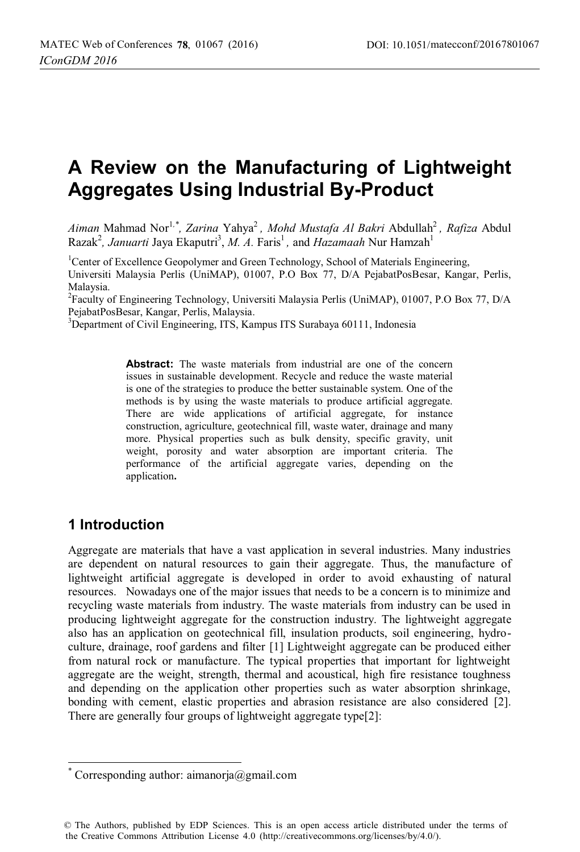# **A Review on the Manufacturing of Lightweight Aggregates Using Industrial By-Product**

*Aiman* Mahmad Nor<sup>1</sup>*,\*, Zarina* Yahya2 *, Mohd Mustafa Al Bakri* Abdullah2 *, Rafiza* Abdul Razak<sup>2</sup>, Januarti Jaya Ekaputri<sup>3</sup>, M. A. Faris<sup>1</sup>, and Hazamaah Nur Hamzah<sup>1</sup>

<sup>1</sup>Center of Excellence Geopolymer and Green Technology, School of Materials Engineering, Universiti Malaysia Perlis (UniMAP), 01007, P.O Box 77, D/A PejabatPosBesar, Kangar, Perlis, Malaysia.

<sup>2</sup> Faculty of Engineering Technology, Universiti Malaysia Perlis (UniMAP), 01007, P.O Box 77, D/A PejabatPosBesar, Kangar, Perlis, Malaysia.

3 Department of Civil Engineering, ITS, Kampus ITS Surabaya 60111, Indonesia

**Abstract:** The waste materials from industrial are one of the concern issues in sustainable development. Recycle and reduce the waste material is one of the strategies to produce the better sustainable system. One of the methods is by using the waste materials to produce artificial aggregate. There are wide applications of artificial aggregate, for instance construction, agriculture, geotechnical fill, waste water, drainage and many more. Physical properties such as bulk density, specific gravity, unit weight, porosity and water absorption are important criteria. The performance of the artificial aggregate varies, depending on the application**.** 

# **1 Introduction**

Aggregate are materials that have a vast application in several industries. Many industries are dependent on natural resources to gain their aggregate. Thus, the manufacture of lightweight artificial aggregate is developed in order to avoid exhausting of natural resources. Nowadays one of the major issues that needs to be a concern is to minimize and recycling waste materials from industry. The waste materials from industry can be used in producing lightweight aggregate for the construction industry. The lightweight aggregate also has an application on geotechnical fill, insulation products, soil engineering, hydroculture, drainage, roof gardens and filter [1] Lightweight aggregate can be produced either from natural rock or manufacture. The typical properties that important for lightweight aggregate are the weight, strength, thermal and acoustical, high fire resistance toughness and depending on the application other properties such as water absorption shrinkage, bonding with cement, elastic properties and abrasion resistance are also considered [2]. There are generally four groups of lightweight aggregate type[2]:

 $\overline{a}$ \* Corresponding author: aimanorja@gmail.com

<sup>©</sup> The Authors, published by EDP Sciences. This is an open access article distributed under the terms of the Creative Commons Attribution License 4.0 (http://creativecommons.org/licenses/by/4.0/).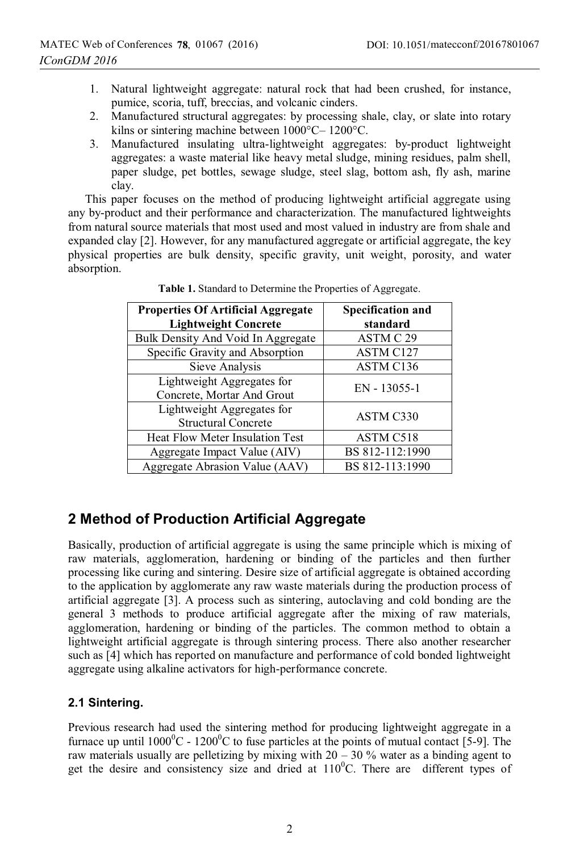- 1. Natural lightweight aggregate: natural rock that had been crushed, for instance, pumice, scoria, tuff, breccias, and volcanic cinders.
- 2. Manufactured structural aggregates: by processing shale, clay, or slate into rotary kilns or sintering machine between 1000°C– 1200°C.
- 3. Manufactured insulating ultra-lightweight aggregates: by-product lightweight aggregates: a waste material like heavy metal sludge, mining residues, palm shell, paper sludge, pet bottles, sewage sludge, steel slag, bottom ash, fly ash, marine clay.

This paper focuses on the method of producing lightweight artificial aggregate using any by-product and their performance and characterization. The manufactured lightweights from natural source materials that most used and most valued in industry are from shale and expanded clay [2]. However, for any manufactured aggregate or artificial aggregate, the key physical properties are bulk density, specific gravity, unit weight, porosity, and water absorption.

| <b>Properties Of Artificial Aggregate</b><br><b>Lightweight Concrete</b> | <b>Specification and</b><br>standard |
|--------------------------------------------------------------------------|--------------------------------------|
| Bulk Density And Void In Aggregate                                       | ASTM C 29                            |
| Specific Gravity and Absorption                                          | <b>ASTM C127</b>                     |
| Sieve Analysis                                                           | ASTM C136                            |
| Lightweight Aggregates for<br>Concrete, Mortar And Grout                 | $EN - 13055 - 1$                     |
| Lightweight Aggregates for<br><b>Structural Concrete</b>                 | ASTM C330                            |
| Heat Flow Meter Insulation Test                                          | ASTM C518                            |
| Aggregate Impact Value (AIV)                                             | BS 812-112:1990                      |
| Aggregate Abrasion Value (AAV)                                           | BS 812-113:1990                      |

**Table 1.** Standard to Determine the Properties of Aggregate.

# **2 Method of Production Artificial Aggregate**

Basically, production of artificial aggregate is using the same principle which is mixing of raw materials, agglomeration, hardening or binding of the particles and then further processing like curing and sintering. Desire size of artificial aggregate is obtained according to the application by agglomerate any raw waste materials during the production process of artificial aggregate [3]. A process such as sintering, autoclaving and cold bonding are the general 3 methods to produce artificial aggregate after the mixing of raw materials, agglomeration, hardening or binding of the particles. The common method to obtain a lightweight artificial aggregate is through sintering process. There also another researcher such as [4] which has reported on manufacture and performance of cold bonded lightweight aggregate using alkaline activators for high-performance concrete.

### **2.1 Sintering.**

Previous research had used the sintering method for producing lightweight aggregate in a furnace up until  $1000^0C - 1200^0C$  to fuse particles at the points of mutual contact [5-9]. The raw materials usually are pelletizing by mixing with  $20 - 30$  % water as a binding agent to get the desire and consistency size and dried at  $110^{\circ}$ C. There are different types of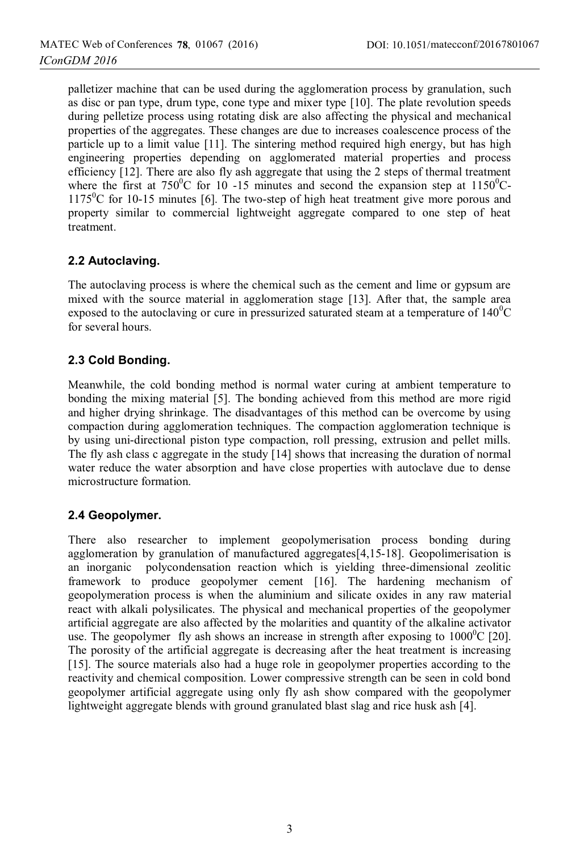palletizer machine that can be used during the agglomeration process by granulation, such as disc or pan type, drum type, cone type and mixer type [10]. The plate revolution speeds during pelletize process using rotating disk are also affecting the physical and mechanical properties of the aggregates. These changes are due to increases coalescence process of the particle up to a limit value [11]. The sintering method required high energy, but has high engineering properties depending on agglomerated material properties and process efficiency [12]. There are also fly ash aggregate that using the 2 steps of thermal treatment where the first at  $750^{\circ}$ C for 10 -15 minutes and second the expansion step at  $1150^{\circ}$ C- $1175^{\circ}$ C for 10-15 minutes [6]. The two-step of high heat treatment give more porous and property similar to commercial lightweight aggregate compared to one step of heat treatment.

### **2.2 Autoclaving.**

The autoclaving process is where the chemical such as the cement and lime or gypsum are mixed with the source material in agglomeration stage [13]. After that, the sample area exposed to the autoclaving or cure in pressurized saturated steam at a temperature of  $140^{\circ}$ C for several hours.

### **2.3 Cold Bonding.**

Meanwhile, the cold bonding method is normal water curing at ambient temperature to bonding the mixing material [5]. The bonding achieved from this method are more rigid and higher drying shrinkage. The disadvantages of this method can be overcome by using compaction during agglomeration techniques. The compaction agglomeration technique is by using uni-directional piston type compaction, roll pressing, extrusion and pellet mills. The fly ash class c aggregate in the study [14] shows that increasing the duration of normal water reduce the water absorption and have close properties with autoclave due to dense microstructure formation.

### **2.4 Geopolymer.**

There also researcher to implement geopolymerisation process bonding during agglomeration by granulation of manufactured aggregates[4,15-18]. Geopolimerisation is an inorganic polycondensation reaction which is yielding three-dimensional zeolitic framework to produce geopolymer cement [16]. The hardening mechanism of geopolymeration process is when the aluminium and silicate oxides in any raw material react with alkali polysilicates. The physical and mechanical properties of the geopolymer artificial aggregate are also affected by the molarities and quantity of the alkaline activator use. The geopolymer fly ash shows an increase in strength after exposing to  $1000^{\circ}$ C [20]. The porosity of the artificial aggregate is decreasing after the heat treatment is increasing [15]. The source materials also had a huge role in geopolymer properties according to the reactivity and chemical composition. Lower compressive strength can be seen in cold bond geopolymer artificial aggregate using only fly ash show compared with the geopolymer lightweight aggregate blends with ground granulated blast slag and rice husk ash [4].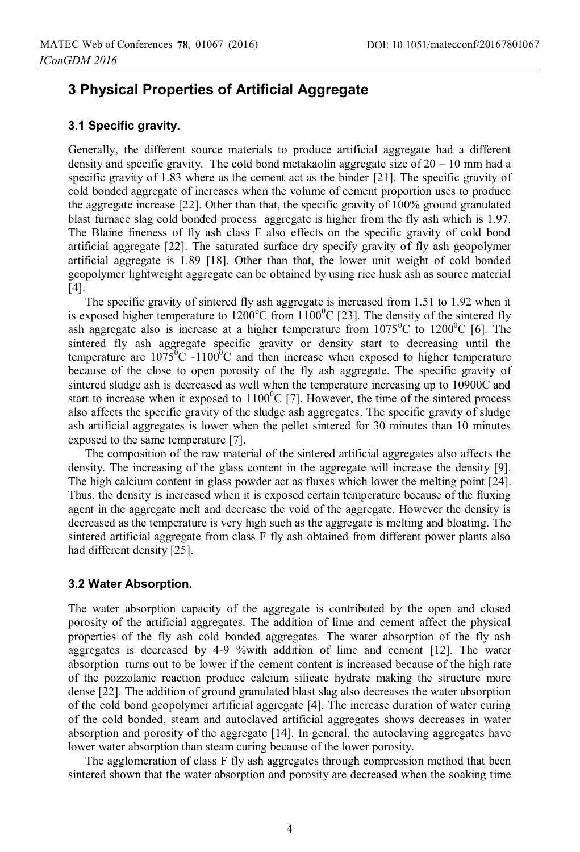# **3 Physical Properties of Artificial Aggregate**

#### **3.1 Specific gravity.**

Generally, the different source materials to produce artificial aggregate had a different density and specific gravity. The cold bond metakaolin aggregate size of  $20 - 10$  mm had a specific gravity of 1.83 where as the cement act as the binder [21]. The specific gravity of cold bonded aggregate of increases when the volume of cement proportion uses to produce the aggregate increase [22]. Other than that, the specific gravity of 100% ground granulated blast furnace slag cold bonded process aggregate is higher from the fly ash which is 1.97. The Blaine fineness of fly ash class F also effects on the specific gravity of cold bond artificial aggregate [22]. The saturated surface dry specify gravity of fly ash geopolymer artificial aggregate is 1.89 [18]. Other than that, the lower unit weight of cold bonded geopolymer lightweight aggregate can be obtained by using rice husk ash as source material [4].

The specific gravity of sintered fly ash aggregate is increased from 1.51 to 1.92 when it is exposed higher temperature to  $1200^{\circ}$ C from  $1100^{\circ}$ C [23]. The density of the sintered fly ash aggregate also is increase at a higher temperature from  $1075^{\circ}$ C to  $1200^{\circ}$ C [6]. The sintered fly ash aggregate specific gravity or density start to decreasing until the temperature are  $1075^{\circ}$ C -1100<sup> $\circ$ </sup>C and then increase when exposed to higher temperature because of the close to open porosity of the fly ash aggregate. The specific gravity of sintered sludge ash is decreased as well when the temperature increasing up to 10900C and start to increase when it exposed to  $1100^{\circ}$ C [7]. However, the time of the sintered process also affects the specific gravity of the sludge ash aggregates. The specific gravity of sludge ash artificial aggregates is lower when the pellet sintered for 30 minutes than 10 minutes exposed to the same temperature [7].

The composition of the raw material of the sintered artificial aggregates also affects the density. The increasing of the glass content in the aggregate will increase the density [9]. The high calcium content in glass powder act as fluxes which lower the melting point [24]. Thus, the density is increased when it is exposed certain temperature because of the fluxing agent in the aggregate melt and decrease the void of the aggregate. However the density is decreased as the temperature is very high such as the aggregate is melting and bloating. The sintered artificial aggregate from class F fly ash obtained from different power plants also had different density [25].

#### **3.2 Water Absorption.**

The water absorption capacity of the aggregate is contributed by the open and closed porosity of the artificial aggregates. The addition of lime and cement affect the physical properties of the fly ash cold bonded aggregates. The water absorption of the fly ash aggregates is decreased by 4-9 %with addition of lime and cement [12]. The water absorption turns out to be lower if the cement content is increased because of the high rate of the pozzolanic reaction produce calcium silicate hydrate making the structure more dense [22]. The addition of ground granulated blast slag also decreases the water absorption of the cold bond geopolymer artificial aggregate [4]. The increase duration of water curing of the cold bonded, steam and autoclaved artificial aggregates shows decreases in water absorption and porosity of the aggregate [14]. In general, the autoclaving aggregates have lower water absorption than steam curing because of the lower porosity.

The agglomeration of class F fly ash aggregates through compression method that been sintered shown that the water absorption and porosity are decreased when the soaking time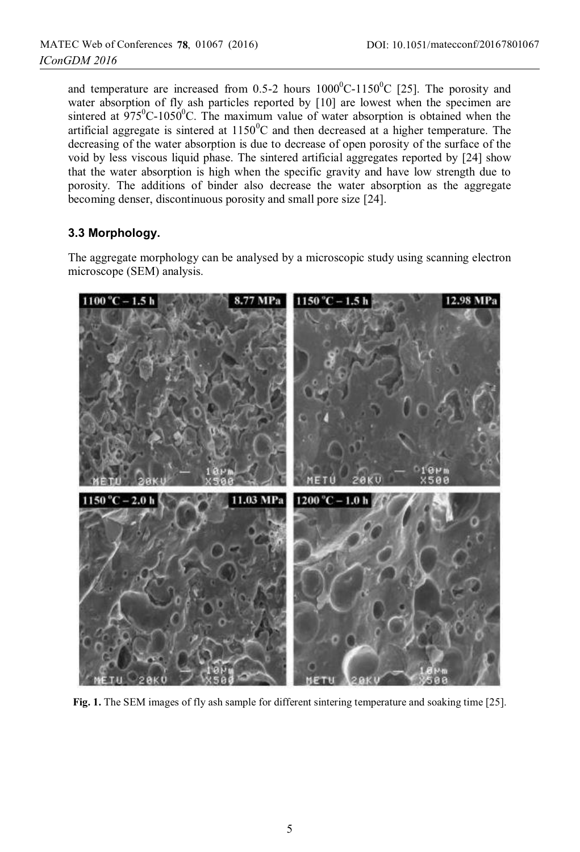and temperature are increased from 0.5-2 hours  $1000^{\circ}$ C-1150 $^{\circ}$ C [25]. The porosity and water absorption of fly ash particles reported by [10] are lowest when the specimen are sintered at  $975^{\circ}$ C-1050 $^{\circ}$ C. The maximum value of water absorption is obtained when the artificial aggregate is sintered at  $1150^{\circ}$ C and then decreased at a higher temperature. The decreasing of the water absorption is due to decrease of open porosity of the surface of the void by less viscous liquid phase. The sintered artificial aggregates reported by [24] show that the water absorption is high when the specific gravity and have low strength due to porosity. The additions of binder also decrease the water absorption as the aggregate becoming denser, discontinuous porosity and small pore size [24].

### **3.3 Morphology.**

The aggregate morphology can be analysed by a microscopic study using scanning electron microscope (SEM) analysis.



**Fig. 1.** The SEM images of fly ash sample for different sintering temperature and soaking time [25].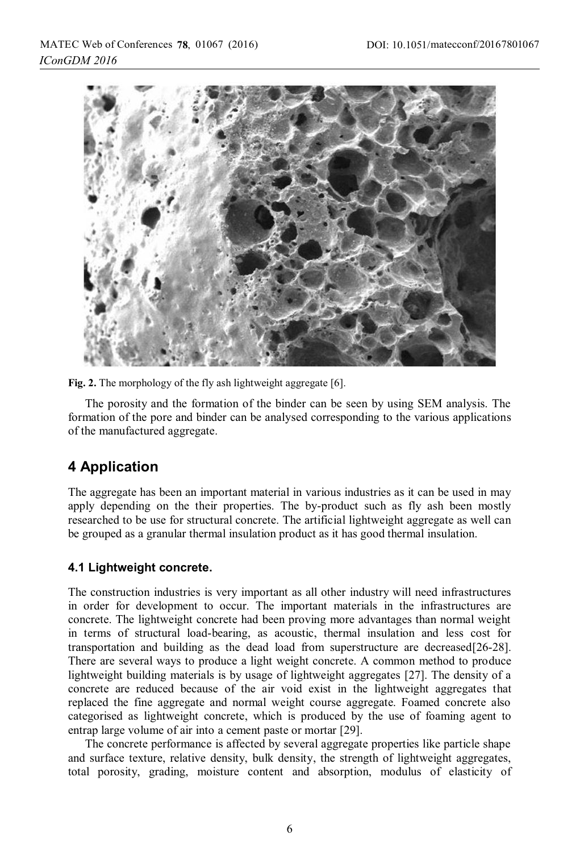



The porosity and the formation of the binder can be seen by using SEM analysis. The formation of the pore and binder can be analysed corresponding to the various applications of the manufactured aggregate.

# **4 Application**

The aggregate has been an important material in various industries as it can be used in may apply depending on the their properties. The by-product such as fly ash been mostly researched to be use for structural concrete. The artificial lightweight aggregate as well can be grouped as a granular thermal insulation product as it has good thermal insulation.

## **4.1 Lightweight concrete.**

The construction industries is very important as all other industry will need infrastructures in order for development to occur. The important materials in the infrastructures are concrete. The lightweight concrete had been proving more advantages than normal weight in terms of structural load-bearing, as acoustic, thermal insulation and less cost for transportation and building as the dead load from superstructure are decreased[26-28]. There are several ways to produce a light weight concrete. A common method to produce lightweight building materials is by usage of lightweight aggregates [27]. The density of a concrete are reduced because of the air void exist in the lightweight aggregates that replaced the fine aggregate and normal weight course aggregate. Foamed concrete also categorised as lightweight concrete, which is produced by the use of foaming agent to entrap large volume of air into a cement paste or mortar [29].

The concrete performance is affected by several aggregate properties like particle shape and surface texture, relative density, bulk density, the strength of lightweight aggregates, total porosity, grading, moisture content and absorption, modulus of elasticity of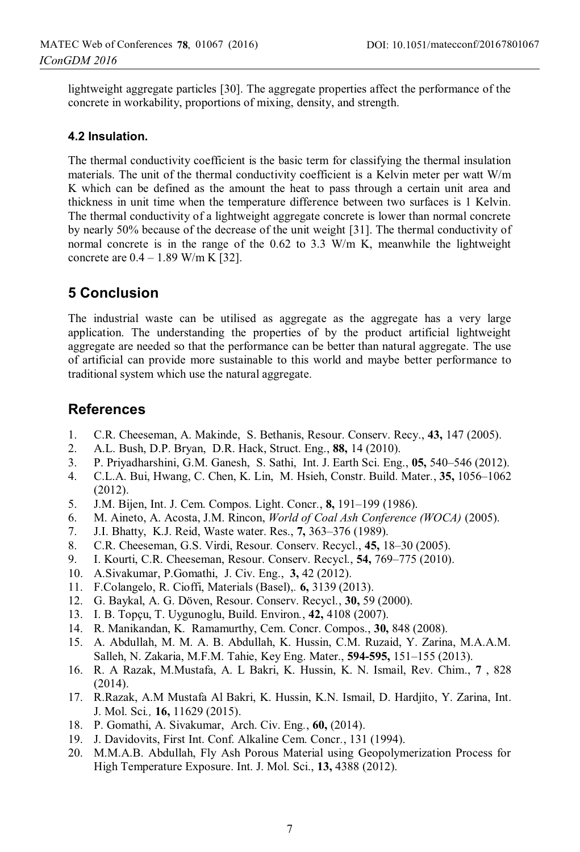lightweight aggregate particles [30]. The aggregate properties affect the performance of the concrete in workability, proportions of mixing, density, and strength.

#### **4.2 Insulation.**

The thermal conductivity coefficient is the basic term for classifying the thermal insulation materials. The unit of the thermal conductivity coefficient is a Kelvin meter per watt W/m K which can be defined as the amount the heat to pass through a certain unit area and thickness in unit time when the temperature difference between two surfaces is 1 Kelvin. The thermal conductivity of a lightweight aggregate concrete is lower than normal concrete by nearly 50% because of the decrease of the unit weight [31]. The thermal conductivity of normal concrete is in the range of the  $0.62$  to  $3.3$  W/m K, meanwhile the lightweight concrete are  $0.4 - 1.89$  W/m K [32].

# **5 Conclusion**

The industrial waste can be utilised as aggregate as the aggregate has a very large application. The understanding the properties of by the product artificial lightweight aggregate are needed so that the performance can be better than natural aggregate. The use of artificial can provide more sustainable to this world and maybe better performance to traditional system which use the natural aggregate.

# **References**

- 1. C.R. Cheeseman, A. Makinde, S. Bethanis, Resour. Conserv. Recy., **43,** 147 (2005).
- 2. A.L. Bush, D.P. Bryan, D.R. Hack, Struct. Eng., **88,** 14 (2010).
- 3. P. Priyadharshini, G.M. Ganesh, S. Sathi, Int. J. Earth Sci. Eng., **05,** 540–546 (2012).
- 4. C.L.A. Bui, Hwang, C. Chen, K. Lin, M. Hsieh, Constr. Build. Mater*.*, **35,** 1056–1062 (2012).
- 5. J.M. Bijen, Int. J. Cem. Compos. Light. Concr*.*, **8,** 191–199 (1986).
- 6. M. Aineto, A. Acosta, J.M. Rincon, *World of Coal Ash Conference (WOCA)* (2005).
- 7. J.I. Bhatty, K.J. Reid, Waste water. Res., **7,** 363–376 (1989).
- 8. C.R. Cheeseman, G.S. Virdi, Resour*.* Conserv. Recycl., **45,** 18–30 (2005).
- 9. I. Kourti, C.R. Cheeseman, Resour. Conserv. Recycl., **54,** 769–775 (2010).
- 10. A.Sivakumar, P.Gomathi, J. Civ. Eng., **3,** 42 (2012).
- 11. F.Colangelo, R. Cioffi, Materials (Basel),*.* **6,** 3139 (2013).
- 12. G. Baykal, A. G. Döven, Resour. Conserv. Recycl., **30,** 59 (2000).
- 13. I. B. Topçu, T. Uygunoglu, Build. Environ*.*, **42,** 4108 (2007).
- 14. R. Manikandan, K. Ramamurthy, Cem. Concr. Compos., **30,** 848 (2008).
- 15. A. Abdullah, M. M. A. B. Abdullah, K. Hussin, C.M. Ruzaid, Y. Zarina, M.A.A.M. Salleh, N. Zakaria, M.F.M. Tahie, Key Eng. Mater., **594-595,** 151–155 (2013).
- 16. R. A Razak, M.Mustafa, A. L Bakri, K. Hussin, K. N. Ismail, Rev. Chim., **7** , 828  $(2014).$
- 17. R.Razak, A.M Mustafa Al Bakri, K. Hussin, K.N. Ismail, D. Hardjito, Y. Zarina, Int. J. Mol. Sci*.,* **16,** 11629 (2015).
- 18. P. Gomathi, A. Sivakumar, Arch. Civ. Eng*.*, **60,** (2014).
- 19. J. Davidovits, First Int. Conf. Alkaline Cem. Concr*.*, 131 (1994).
- 20. M.M.A.B. Abdullah, Fly Ash Porous Material using Geopolymerization Process for High Temperature Exposure. Int. J. Mol. Sci., **13,** 4388 (2012).